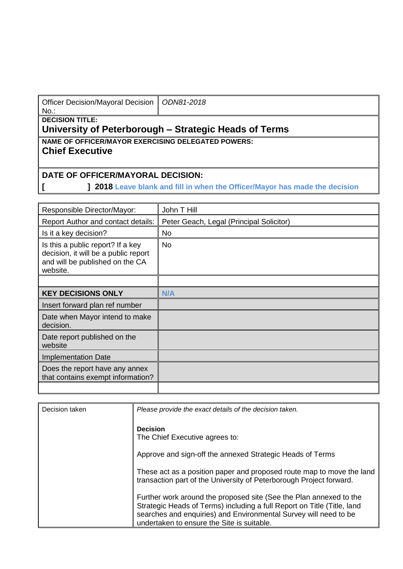| Officer Decision/Mayoral Decision   ODN81-2018 |  |
|------------------------------------------------|--|
| No.:                                           |  |

**DECISION TITLE:**

## **University of Peterborough – Strategic Heads of Terms**

**NAME OF OFFICER/MAYOR EXERCISING DELEGATED POWERS:**

## **Chief Executive**

## **DATE OF OFFICER/MAYORAL DECISION:**

**[ ] 2018 Leave blank and fill in when the Officer/Mayor has made the decision**

| Responsible Director/Mayor:                                                                                              | John T Hill                              |
|--------------------------------------------------------------------------------------------------------------------------|------------------------------------------|
| <b>Report Author and contact details:</b>                                                                                | Peter Geach, Legal (Principal Solicitor) |
| Is it a key decision?                                                                                                    | <b>No</b>                                |
| Is this a public report? If a key<br>decision, it will be a public report<br>and will be published on the CA<br>website. | <b>No</b>                                |
|                                                                                                                          |                                          |
| <b>KEY DECISIONS ONLY</b>                                                                                                | N/A                                      |
| Insert forward plan ref number                                                                                           |                                          |
| Date when Mayor intend to make<br>decision.                                                                              |                                          |
| Date report published on the<br>website                                                                                  |                                          |
| <b>Implementation Date</b>                                                                                               |                                          |
| Does the report have any annex<br>that contains exempt information?                                                      |                                          |
|                                                                                                                          |                                          |

| Decision taken | Please provide the exact details of the decision taken.                                                                                                                                                                                                         |
|----------------|-----------------------------------------------------------------------------------------------------------------------------------------------------------------------------------------------------------------------------------------------------------------|
|                | <b>Decision</b><br>The Chief Executive agrees to:                                                                                                                                                                                                               |
|                | Approve and sign-off the annexed Strategic Heads of Terms                                                                                                                                                                                                       |
|                | These act as a position paper and proposed route map to move the land<br>transaction part of the University of Peterborough Project forward.                                                                                                                    |
|                | Further work around the proposed site (See the Plan annexed to the<br>Strategic Heads of Terms) including a full Report on Title (Title, land<br>searches and enquiries) and Environmental Survey will need to be<br>undertaken to ensure the Site is suitable. |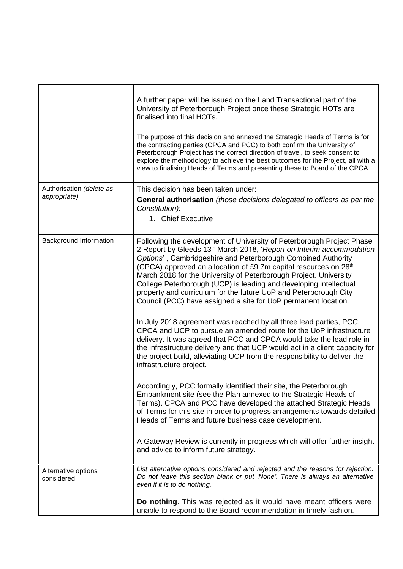|                                          | A further paper will be issued on the Land Transactional part of the<br>University of Peterborough Project once these Strategic HOTs are<br>finalised into final HOTs.<br>The purpose of this decision and annexed the Strategic Heads of Terms is for<br>the contracting parties (CPCA and PCC) to both confirm the University of<br>Peterborough Project has the correct direction of travel, to seek consent to<br>explore the methodology to achieve the best outcomes for the Project, all with a<br>view to finalising Heads of Terms and presenting these to Board of the CPCA.    |
|------------------------------------------|-------------------------------------------------------------------------------------------------------------------------------------------------------------------------------------------------------------------------------------------------------------------------------------------------------------------------------------------------------------------------------------------------------------------------------------------------------------------------------------------------------------------------------------------------------------------------------------------|
| Authorisation (delete as<br>appropriate) | This decision has been taken under:<br><b>General authorisation</b> (those decisions delegated to officers as per the<br>Constitution):<br>1. Chief Executive                                                                                                                                                                                                                                                                                                                                                                                                                             |
| Background Information                   | Following the development of University of Peterborough Project Phase<br>2 Report by Gleeds 13 <sup>th</sup> March 2018, 'Report on Interim accommodation<br>Options', Cambridgeshire and Peterborough Combined Authority<br>(CPCA) approved an allocation of £9.7m capital resources on 28 <sup>th</sup><br>March 2018 for the University of Peterborough Project. University<br>College Peterborough (UCP) is leading and developing intellectual<br>property and curriculum for the future UoP and Peterborough City<br>Council (PCC) have assigned a site for UoP permanent location. |
|                                          | In July 2018 agreement was reached by all three lead parties, PCC,<br>CPCA and UCP to pursue an amended route for the UoP infrastructure<br>delivery. It was agreed that PCC and CPCA would take the lead role in<br>the infrastructure delivery and that UCP would act in a client capacity for<br>the project build, alleviating UCP from the responsibility to deliver the<br>infrastructure project.                                                                                                                                                                                  |
|                                          | Accordingly, PCC formally identified their site, the Peterborough<br>Embankment site (see the Plan annexed to the Strategic Heads of<br>Terms). CPCA and PCC have developed the attached Strategic Heads<br>of Terms for this site in order to progress arrangements towards detailed<br>Heads of Terms and future business case development.                                                                                                                                                                                                                                             |
|                                          | A Gateway Review is currently in progress which will offer further insight<br>and advice to inform future strategy.                                                                                                                                                                                                                                                                                                                                                                                                                                                                       |
| Alternative options<br>considered.       | List alternative options considered and rejected and the reasons for rejection.<br>Do not leave this section blank or put 'None'. There is always an alternative<br>even if it is to do nothing.                                                                                                                                                                                                                                                                                                                                                                                          |
|                                          | Do nothing. This was rejected as it would have meant officers were<br>unable to respond to the Board recommendation in timely fashion.                                                                                                                                                                                                                                                                                                                                                                                                                                                    |